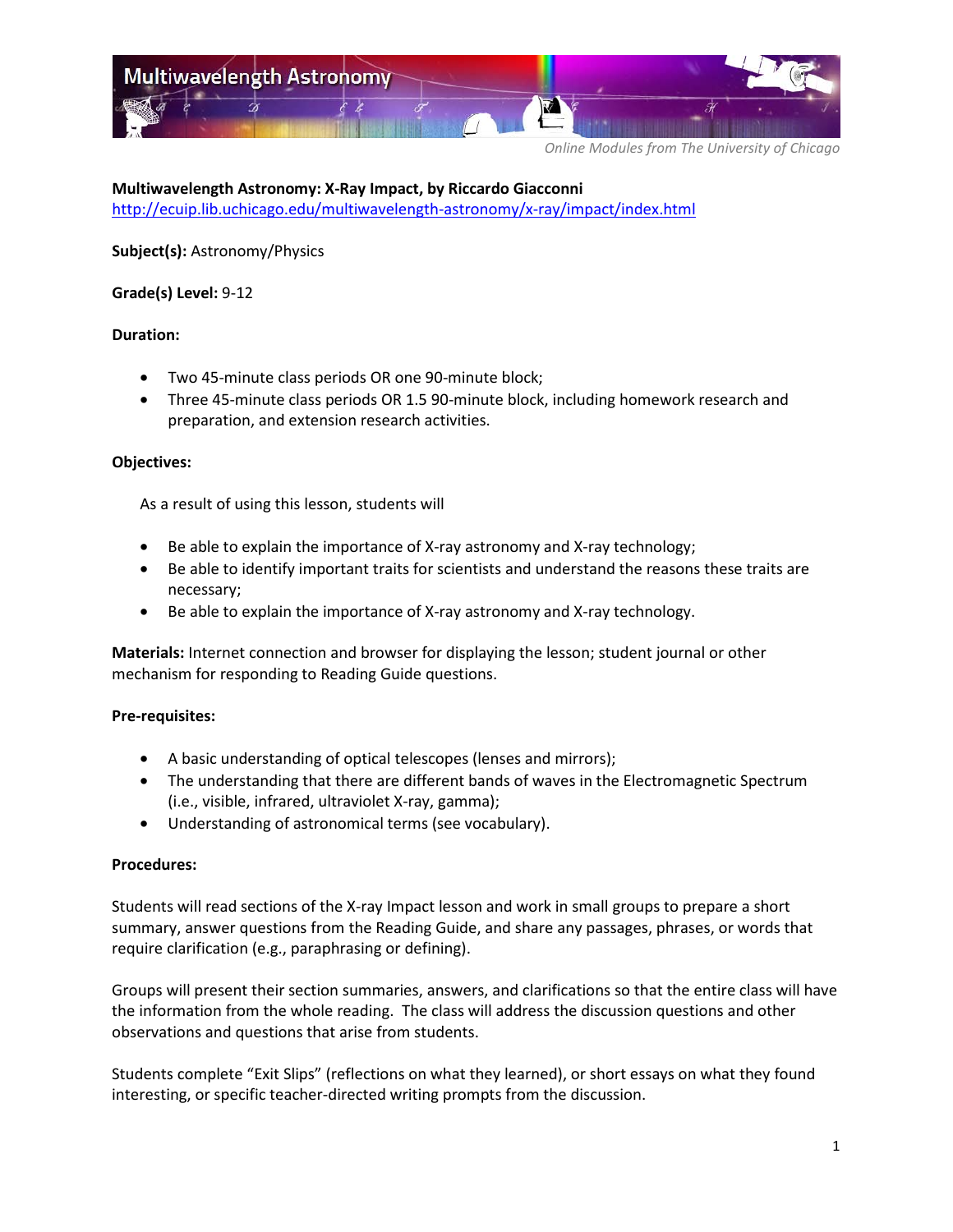

**Multiwavelength Astronomy: X-Ray Impact, by Riccardo Giacconni** <http://ecuip.lib.uchicago.edu/multiwavelength-astronomy/x-ray/impact/index.html>

**Subject(s):** Astronomy/Physics

### **Grade(s) Level:** 9-12

### **Duration:**

- Two 45-minute class periods OR one 90-minute block;
- Three 45-minute class periods OR 1.5 90-minute block, including homework research and preparation, and extension research activities.

### **Objectives:**

As a result of using this lesson, students will

- Be able to explain the importance of X-ray astronomy and X-ray technology;
- Be able to identify important traits for scientists and understand the reasons these traits are necessary;
- Be able to explain the importance of X-ray astronomy and X-ray technology.

**Materials:** Internet connection and browser for displaying the lesson; student journal or other mechanism for responding to Reading Guide questions.

### **Pre-requisites:**

- A basic understanding of optical telescopes (lenses and mirrors);
- The understanding that there are different bands of waves in the Electromagnetic Spectrum (i.e., visible, infrared, ultraviolet X-ray, gamma);
- Understanding of astronomical terms (see vocabulary).

#### **Procedures:**

Students will read sections of the X-ray Impact lesson and work in small groups to prepare a short summary, answer questions from the Reading Guide, and share any passages, phrases, or words that require clarification (e.g., paraphrasing or defining).

Groups will present their section summaries, answers, and clarifications so that the entire class will have the information from the whole reading. The class will address the discussion questions and other observations and questions that arise from students.

Students complete "Exit Slips" (reflections on what they learned), or short essays on what they found interesting, or specific teacher-directed writing prompts from the discussion.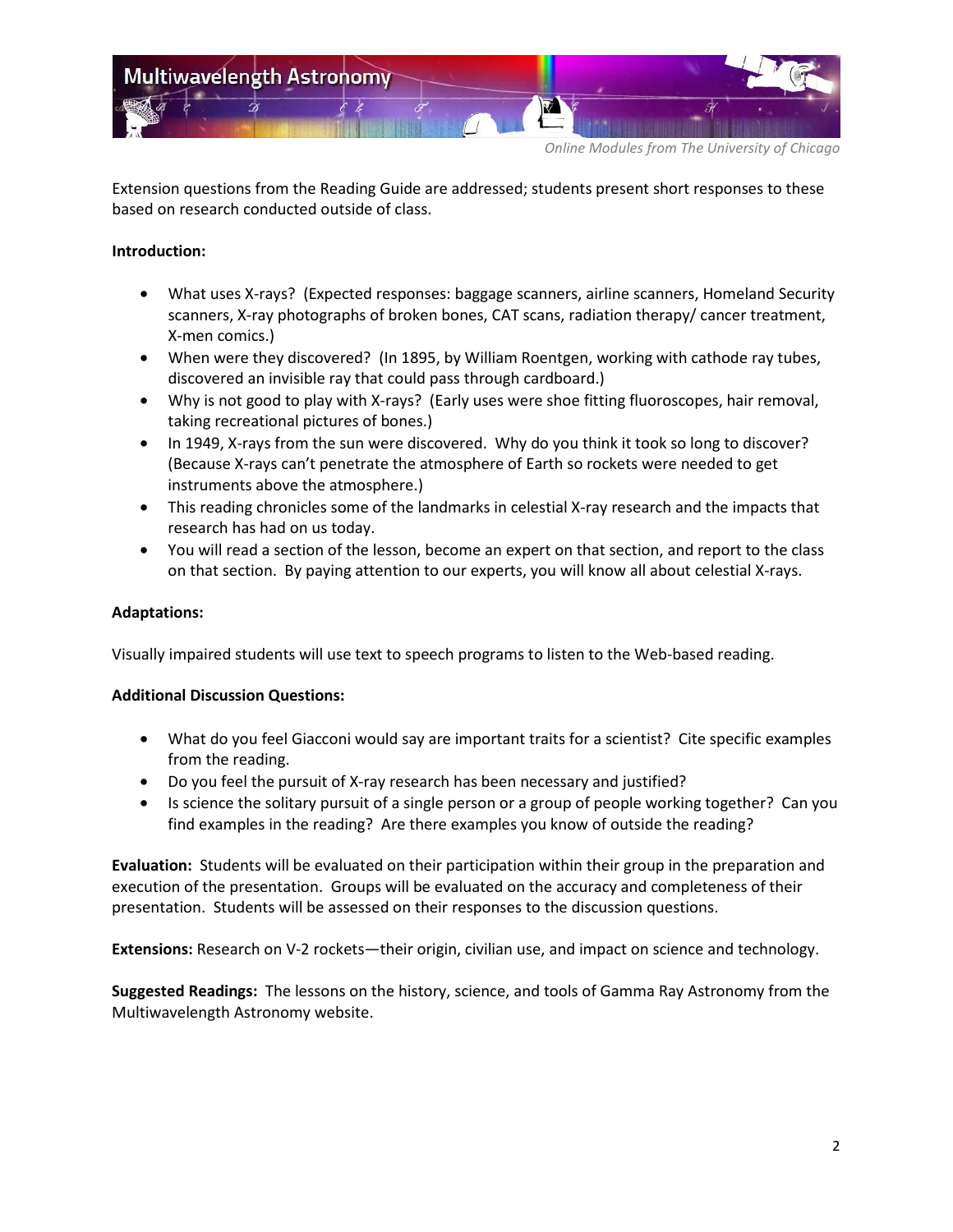

Extension questions from the Reading Guide are addressed; students present short responses to these based on research conducted outside of class.

### **Introduction:**

- What uses X-rays? (Expected responses: baggage scanners, airline scanners, Homeland Security scanners, X-ray photographs of broken bones, CAT scans, radiation therapy/ cancer treatment, X-men comics.)
- When were they discovered? (In 1895, by William Roentgen, working with cathode ray tubes, discovered an invisible ray that could pass through cardboard.)
- Why is not good to play with X-rays? (Early uses were shoe fitting fluoroscopes, hair removal, taking recreational pictures of bones.)
- In 1949, X-rays from the sun were discovered. Why do you think it took so long to discover? (Because X-rays can't penetrate the atmosphere of Earth so rockets were needed to get instruments above the atmosphere.)
- This reading chronicles some of the landmarks in celestial X-ray research and the impacts that research has had on us today.
- You will read a section of the lesson, become an expert on that section, and report to the class on that section. By paying attention to our experts, you will know all about celestial X-rays.

### **Adaptations:**

Visually impaired students will use text to speech programs to listen to the Web-based reading.

#### **Additional Discussion Questions:**

- What do you feel Giacconi would say are important traits for a scientist? Cite specific examples from the reading.
- Do you feel the pursuit of X-ray research has been necessary and justified?
- Is science the solitary pursuit of a single person or a group of people working together? Can you find examples in the reading? Are there examples you know of outside the reading?

**Evaluation:** Students will be evaluated on their participation within their group in the preparation and execution of the presentation. Groups will be evaluated on the accuracy and completeness of their presentation. Students will be assessed on their responses to the discussion questions.

**Extensions:** Research on V-2 rockets—their origin, civilian use, and impact on science and technology.

**Suggested Readings:** The lessons on the history, science, and tools of Gamma Ray Astronomy from the Multiwavelength Astronomy website.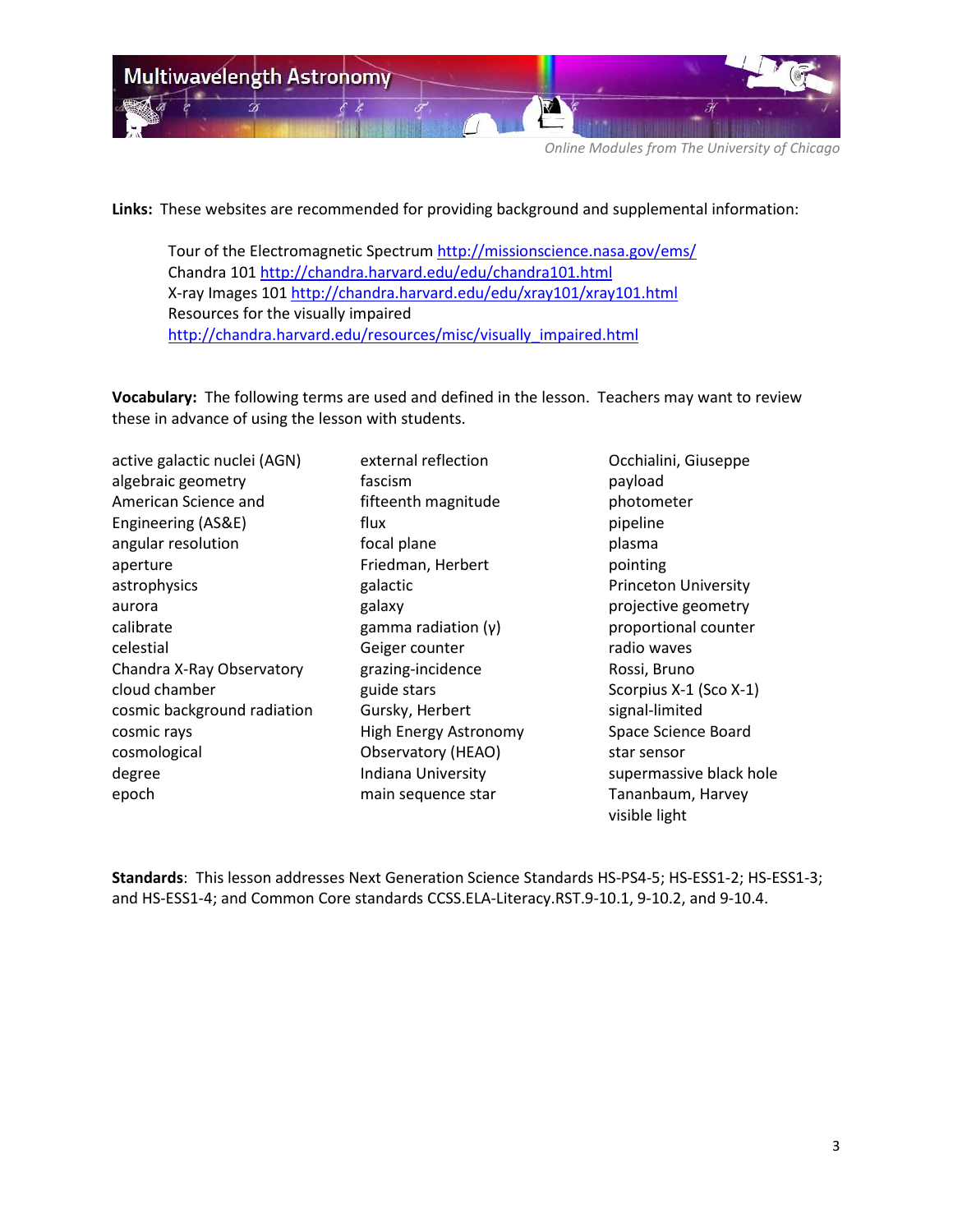

**Links:** These websites are recommended for providing background and supplemental information:

Tour of the Electromagnetic Spectrum<http://missionscience.nasa.gov/ems/> Chandra 101<http://chandra.harvard.edu/edu/chandra101.html> X-ray Images 101<http://chandra.harvard.edu/edu/xray101/xray101.html> Resources for the visually impaired [http://chandra.harvard.edu/resources/misc/visually\\_impaired.html](http://chandra.harvard.edu/resources/misc/visually_impaired.html)

**Vocabulary:** The following terms are used and defined in the lesson. Teachers may want to review these in advance of using the lesson with students.

active galactic nuclei (AGN) algebraic geometry American Science and Engineering (AS&E) angular resolution aperture astrophysics aurora calibrate celestial Chandra X-Ray Observatory cloud chamber cosmic background radiation cosmic rays cosmological degree epoch

external reflection fascism fifteenth magnitude flux focal plane Friedman, Herbert galactic galaxy gamma radiation (γ) Geiger counter grazing-incidence guide stars Gursky, Herbert High Energy Astronomy Observatory (HEAO) Indiana University main sequence star

Occhialini, Giuseppe payload photometer pipeline plasma pointing Princeton University projective geometry proportional counter radio waves Rossi, Bruno Scorpius X-1 (Sco X-1) signal-limited Space Science Board star sensor supermassive black hole Tananbaum, Harvey visible light

**Standards**: This lesson addresses Next Generation Science Standards HS-PS4-5; HS-ESS1-2; HS-ESS1-3; and HS-ESS1-4; and Common Core standards CCSS.ELA-Literacy.RST.9-10.1, 9-10.2, and 9-10.4.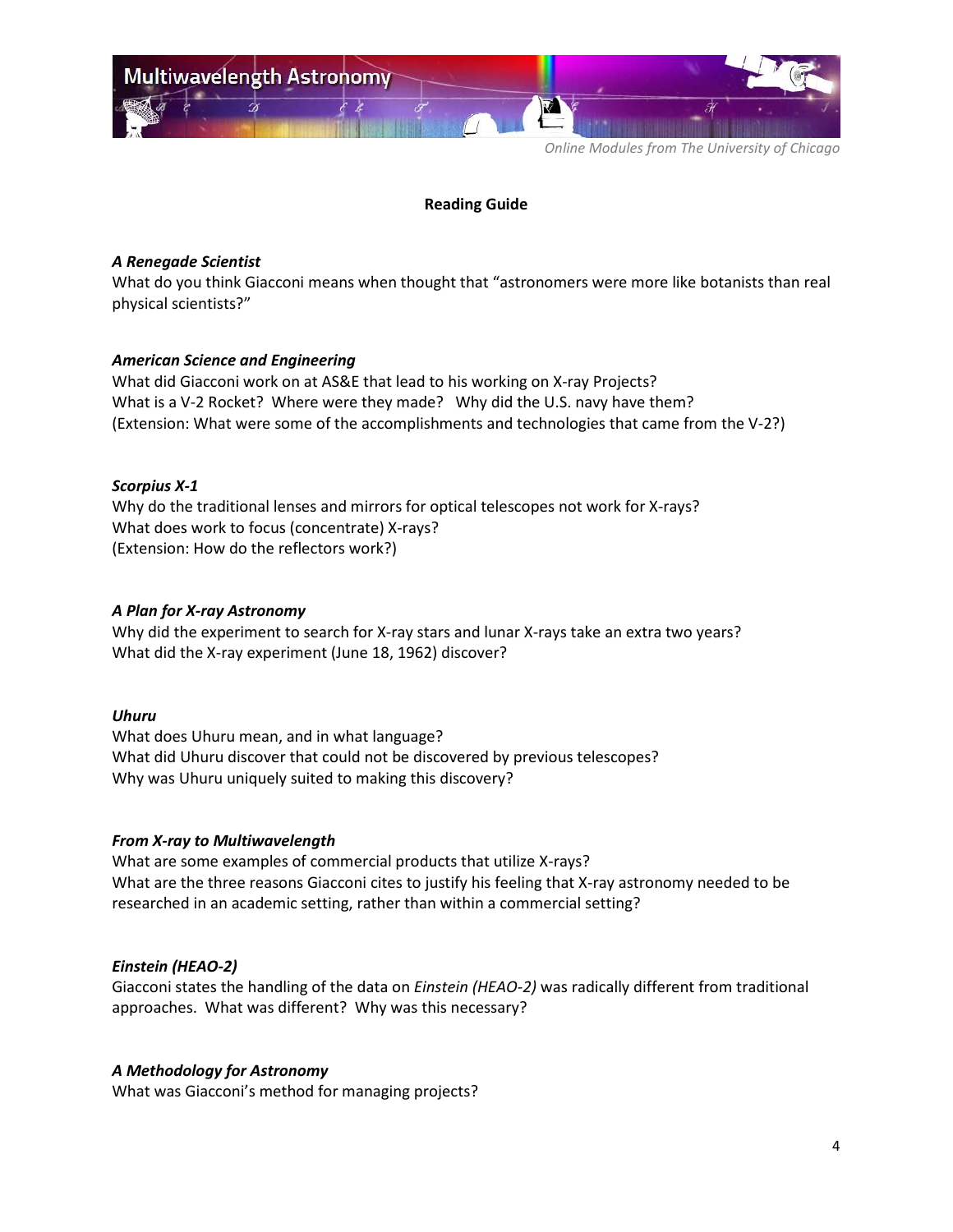

### **Reading Guide**

### *A Renegade Scientist*

What do you think Giacconi means when thought that "astronomers were more like botanists than real physical scientists?"

## *American Science and Engineering*

What did Giacconi work on at AS&E that lead to his working on X-ray Projects? What is a V-2 Rocket? Where were they made? Why did the U.S. navy have them? (Extension: What were some of the accomplishments and technologies that came from the V-2?)

## *Scorpius X-1*

Why do the traditional lenses and mirrors for optical telescopes not work for X-rays? What does work to focus (concentrate) X-rays? (Extension: How do the reflectors work?)

## *A Plan for X-ray Astronomy*

Why did the experiment to search for X-ray stars and lunar X-rays take an extra two years? What did the X-ray experiment (June 18, 1962) discover?

### *Uhuru*

What does Uhuru mean, and in what language? What did Uhuru discover that could not be discovered by previous telescopes? Why was Uhuru uniquely suited to making this discovery?

### *From X-ray to Multiwavelength*

What are some examples of commercial products that utilize X-rays? What are the three reasons Giacconi cites to justify his feeling that X-ray astronomy needed to be researched in an academic setting, rather than within a commercial setting?

# *Einstein (HEAO-2)*

Giacconi states the handling of the data on *Einstein (HEAO-2)* was radically different from traditional approaches. What was different? Why was this necessary?

### *A Methodology for Astronomy*

What was Giacconi's method for managing projects?